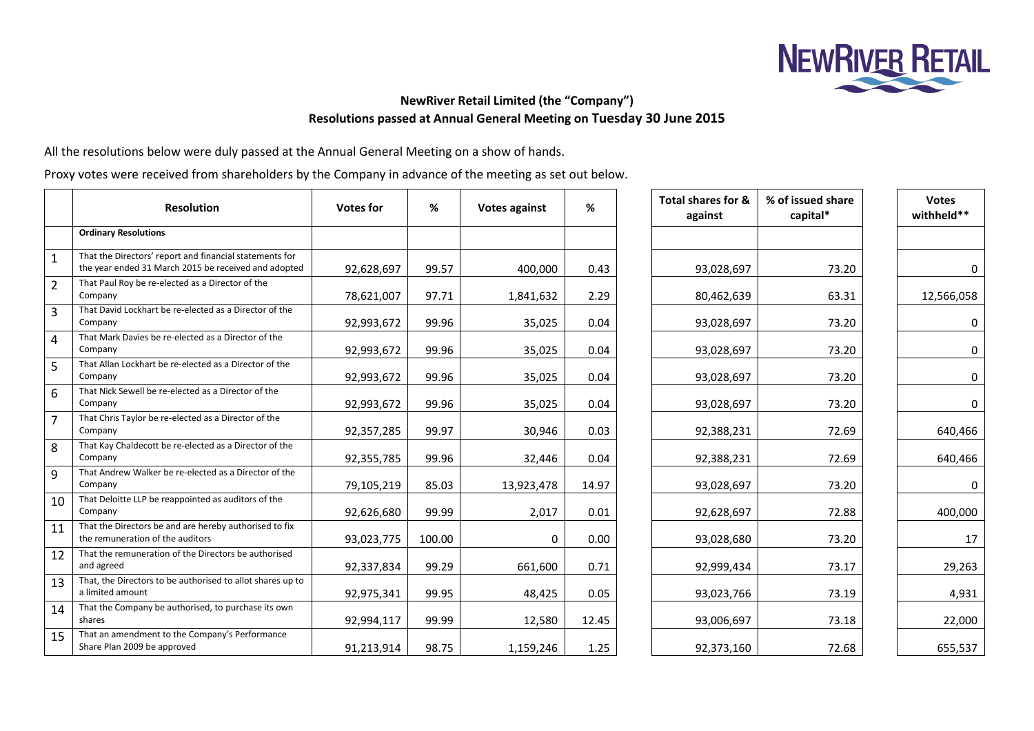

## **NewRiver Retail Limited (the "Company") Resolutions passed at Annual General Meeting on Tuesday 30 June 2015**

All the resolutions below were duly passed at the Annual General Meeting on a show of hands.

Proxy votes were received from shareholders by the Company in advance of the meeting as set out below.

|                | <b>Resolution</b>                                                                                               | <b>Votes for</b> | %      | <b>Votes against</b> | %     | Total shares for &<br>against | % of issued share<br>capital* | <b>Votes</b><br>withheld** |
|----------------|-----------------------------------------------------------------------------------------------------------------|------------------|--------|----------------------|-------|-------------------------------|-------------------------------|----------------------------|
|                | <b>Ordinary Resolutions</b>                                                                                     |                  |        |                      |       |                               |                               |                            |
| 1              | That the Directors' report and financial statements for<br>the year ended 31 March 2015 be received and adopted | 92,628,697       | 99.57  | 400,000              | 0.43  | 93,028,697                    | 73.20                         |                            |
| $\overline{2}$ | That Paul Roy be re-elected as a Director of the<br>Company                                                     | 78,621,007       | 97.71  | 1,841,632            | 2.29  | 80,462,639                    | 63.31                         | 12,566,058                 |
| 3              | That David Lockhart be re-elected as a Director of the<br>Company                                               | 92,993,672       | 99.96  | 35,025               | 0.04  | 93,028,697                    | 73.20                         | 0                          |
| 4              | That Mark Davies be re-elected as a Director of the<br>Company                                                  | 92,993,672       | 99.96  | 35,025               | 0.04  | 93,028,697                    | 73.20                         |                            |
| 5              | That Allan Lockhart be re-elected as a Director of the<br>Company                                               | 92,993,672       | 99.96  | 35,025               | 0.04  | 93,028,697                    | 73.20                         |                            |
| 6              | That Nick Sewell be re-elected as a Director of the<br>Company                                                  | 92,993,672       | 99.96  | 35,025               | 0.04  | 93,028,697                    | 73.20                         | $\Omega$                   |
| $\overline{7}$ | That Chris Taylor be re-elected as a Director of the<br>Company                                                 | 92,357,285       | 99.97  | 30,946               | 0.03  | 92,388,231                    | 72.69                         | 640,466                    |
| 8              | That Kay Chaldecott be re-elected as a Director of the<br>Company                                               | 92,355,785       | 99.96  | 32,446               | 0.04  | 92,388,231                    | 72.69                         | 640,466                    |
| 9              | That Andrew Walker be re-elected as a Director of the<br>Company                                                | 79,105,219       | 85.03  | 13,923,478           | 14.97 | 93,028,697                    | 73.20                         | $\Omega$                   |
| 10             | That Deloitte LLP be reappointed as auditors of the<br>Company                                                  | 92,626,680       | 99.99  | 2,017                | 0.01  | 92,628,697                    | 72.88                         | 400,000                    |
| 11             | That the Directors be and are hereby authorised to fix<br>the remuneration of the auditors                      | 93,023,775       | 100.00 | 0                    | 0.00  | 93,028,680                    | 73.20                         | 17                         |
| 12             | That the remuneration of the Directors be authorised<br>and agreed                                              | 92,337,834       | 99.29  | 661,600              | 0.71  | 92,999,434                    | 73.17                         | 29,263                     |
| 13             | That, the Directors to be authorised to allot shares up to<br>a limited amount                                  | 92,975,341       | 99.95  | 48,425               | 0.05  | 93,023,766                    | 73.19                         | 4,931                      |
| 14             | That the Company be authorised, to purchase its own<br>shares                                                   | 92,994,117       | 99.99  | 12,580               | 12.45 | 93,006,697                    | 73.18                         | 22,000                     |
| 15             | That an amendment to the Company's Performance<br>Share Plan 2009 be approved                                   | 91,213,914       | 98.75  | 1,159,246            | 1.25  | 92,373,160                    | 72.68                         | 655,537                    |

| <b>Votes</b><br>withheld** | % of issued share<br>capital* | Total shares for &<br>against |
|----------------------------|-------------------------------|-------------------------------|
|                            |                               |                               |
|                            | 73.20                         | 93,028,697                    |
| 12,566,05                  | 63.31                         | 80,462,639                    |
|                            | 73.20                         | 93,028,697                    |
|                            | 73.20                         | 93,028,697                    |
|                            | 73.20                         | 93,028,697                    |
|                            | 73.20                         | 93,028,697                    |
| 640,46                     | 72.69                         | 92,388,231                    |
| 640,46                     | 72.69                         | 92,388,231                    |
|                            | 73.20                         | 93,028,697                    |
| 400,00                     | 72.88                         | 92,628,697                    |
| 1                          | 73.20                         | 93,028,680                    |
| 29,26                      | 73.17                         | 92,999,434                    |
| 4,93                       | 73.19                         | 93,023,766                    |
| 22,00                      | 73.18                         | 93,006,697                    |
| 655,53                     | 72.68                         | 92,373,160                    |